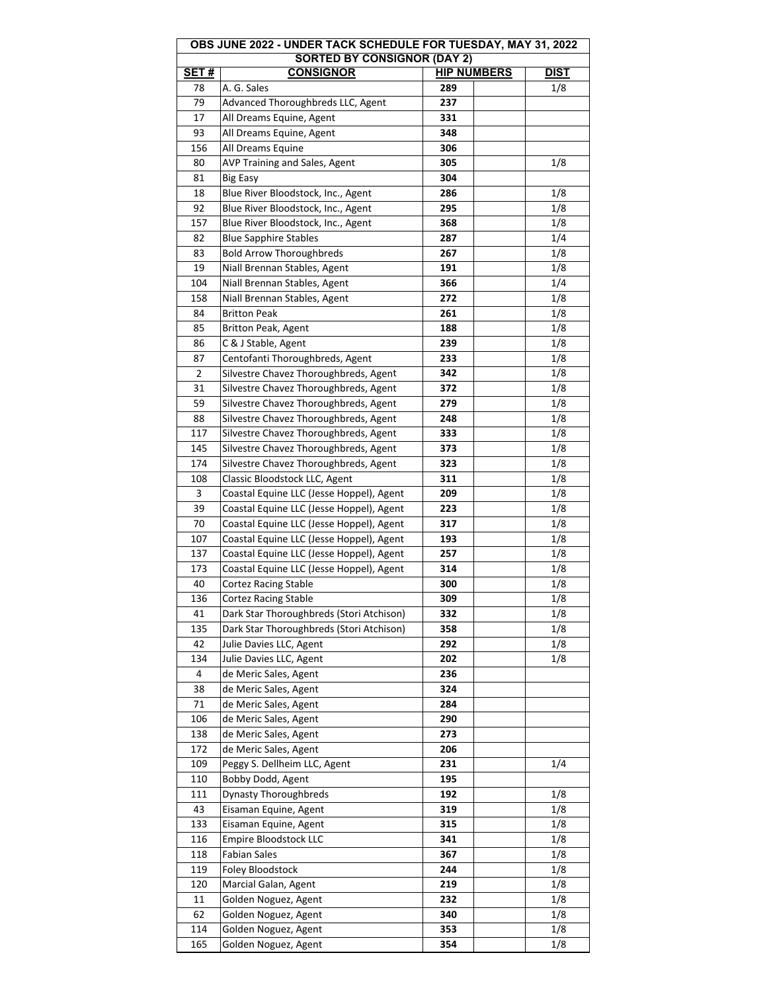| OBS JUNE 2022 - UNDER TACK SCHEDULE FOR TUESDAY, MAY 31, 2022 |                                          |                    |             |  |  |
|---------------------------------------------------------------|------------------------------------------|--------------------|-------------|--|--|
|                                                               | <b>SORTED BY CONSIGNOR (DAY 2)</b>       |                    |             |  |  |
| <b>SET#</b>                                                   | <b>CONSIGNOR</b>                         | <b>HIP NUMBERS</b> | <b>DIST</b> |  |  |
| 78                                                            | A. G. Sales                              | 289                | 1/8         |  |  |
| 79                                                            | Advanced Thoroughbreds LLC, Agent        | 237                |             |  |  |
| 17                                                            | All Dreams Equine, Agent                 | 331                |             |  |  |
| 93                                                            | All Dreams Equine, Agent                 | 348                |             |  |  |
| 156                                                           | All Dreams Equine                        | 306                |             |  |  |
| 80                                                            | AVP Training and Sales, Agent            | 305                | 1/8         |  |  |
| 81                                                            | <b>Big Easy</b>                          | 304                |             |  |  |
| 18                                                            | Blue River Bloodstock, Inc., Agent       | 286                | 1/8         |  |  |
| 92                                                            | Blue River Bloodstock, Inc., Agent       | 295                | 1/8         |  |  |
| 157                                                           | Blue River Bloodstock, Inc., Agent       | 368                | 1/8         |  |  |
| 82                                                            | <b>Blue Sapphire Stables</b>             | 287                | 1/4         |  |  |
| 83                                                            | <b>Bold Arrow Thoroughbreds</b>          | 267                | 1/8         |  |  |
| 19                                                            | Niall Brennan Stables, Agent             | 191                | 1/8         |  |  |
| 104                                                           | Niall Brennan Stables, Agent             | 366                | 1/4         |  |  |
| 158                                                           | Niall Brennan Stables, Agent             | 272                | 1/8         |  |  |
| 84                                                            | <b>Britton Peak</b>                      | 261                | 1/8         |  |  |
| 85                                                            | <b>Britton Peak, Agent</b>               | 188                | 1/8         |  |  |
| 86                                                            | C & J Stable, Agent                      | 239                | 1/8         |  |  |
| 87                                                            | Centofanti Thoroughbreds, Agent          | 233                | 1/8         |  |  |
| 2                                                             | Silvestre Chavez Thoroughbreds, Agent    | 342                | 1/8         |  |  |
| 31                                                            | Silvestre Chavez Thoroughbreds, Agent    | 372                | 1/8         |  |  |
| 59                                                            | Silvestre Chavez Thoroughbreds, Agent    | 279                | 1/8         |  |  |
| 88                                                            | Silvestre Chavez Thoroughbreds, Agent    | 248                | 1/8         |  |  |
| 117                                                           | Silvestre Chavez Thoroughbreds, Agent    | 333                | 1/8         |  |  |
| 145                                                           | Silvestre Chavez Thoroughbreds, Agent    | 373                | 1/8         |  |  |
| 174                                                           | Silvestre Chavez Thoroughbreds, Agent    | 323                | 1/8         |  |  |
| 108                                                           | Classic Bloodstock LLC, Agent            | 311                | 1/8         |  |  |
| 3                                                             | Coastal Equine LLC (Jesse Hoppel), Agent | 209                | 1/8         |  |  |
| 39                                                            | Coastal Equine LLC (Jesse Hoppel), Agent | 223                | 1/8         |  |  |
| 70                                                            | Coastal Equine LLC (Jesse Hoppel), Agent | 317                | 1/8         |  |  |
| 107                                                           | Coastal Equine LLC (Jesse Hoppel), Agent | 193                | 1/8         |  |  |
| 137                                                           | Coastal Equine LLC (Jesse Hoppel), Agent | 257                | 1/8         |  |  |
| 173                                                           | Coastal Equine LLC (Jesse Hoppel), Agent | 314                | 1/8         |  |  |
| 40                                                            | <b>Cortez Racing Stable</b>              | 300                | 1/8         |  |  |
| 136                                                           | Cortez Racing Stable                     | 309                | 1/8         |  |  |
| 41                                                            | Dark Star Thoroughbreds (Stori Atchison) | 332                | 1/8         |  |  |
| 135                                                           | Dark Star Thoroughbreds (Stori Atchison) | 358                | 1/8         |  |  |
| 42                                                            | Julie Davies LLC, Agent                  | 292                | 1/8         |  |  |
| 134                                                           | Julie Davies LLC, Agent                  | 202                | 1/8         |  |  |
| 4                                                             | de Meric Sales, Agent                    | 236                |             |  |  |
| 38                                                            | de Meric Sales, Agent                    | 324                |             |  |  |
| 71                                                            | de Meric Sales, Agent                    | 284                |             |  |  |
| 106                                                           | de Meric Sales, Agent                    | 290                |             |  |  |
| 138                                                           | de Meric Sales, Agent                    | 273                |             |  |  |
| 172                                                           |                                          | 206                |             |  |  |
|                                                               | de Meric Sales, Agent                    |                    |             |  |  |
| 109                                                           | Peggy S. Dellheim LLC, Agent             | 231                | 1/4         |  |  |
| 110                                                           | Bobby Dodd, Agent                        | 195                |             |  |  |
| 111                                                           | <b>Dynasty Thoroughbreds</b>             | 192                | 1/8         |  |  |
| 43                                                            | Eisaman Equine, Agent                    | 319                | 1/8         |  |  |
| 133                                                           | Eisaman Equine, Agent                    | 315                | 1/8         |  |  |
| 116                                                           | Empire Bloodstock LLC                    | 341                | 1/8         |  |  |
| 118                                                           | <b>Fabian Sales</b>                      | 367                | 1/8         |  |  |
| 119                                                           | <b>Foley Bloodstock</b>                  | 244                | 1/8         |  |  |
| 120                                                           | Marcial Galan, Agent                     | 219                | 1/8         |  |  |
| 11                                                            | Golden Noguez, Agent                     | 232                | 1/8         |  |  |
| 62                                                            | Golden Noguez, Agent                     | 340                | 1/8         |  |  |
| 114                                                           | Golden Noguez, Agent                     | 353                | 1/8         |  |  |
| 165                                                           | Golden Noguez, Agent                     | 354                | 1/8         |  |  |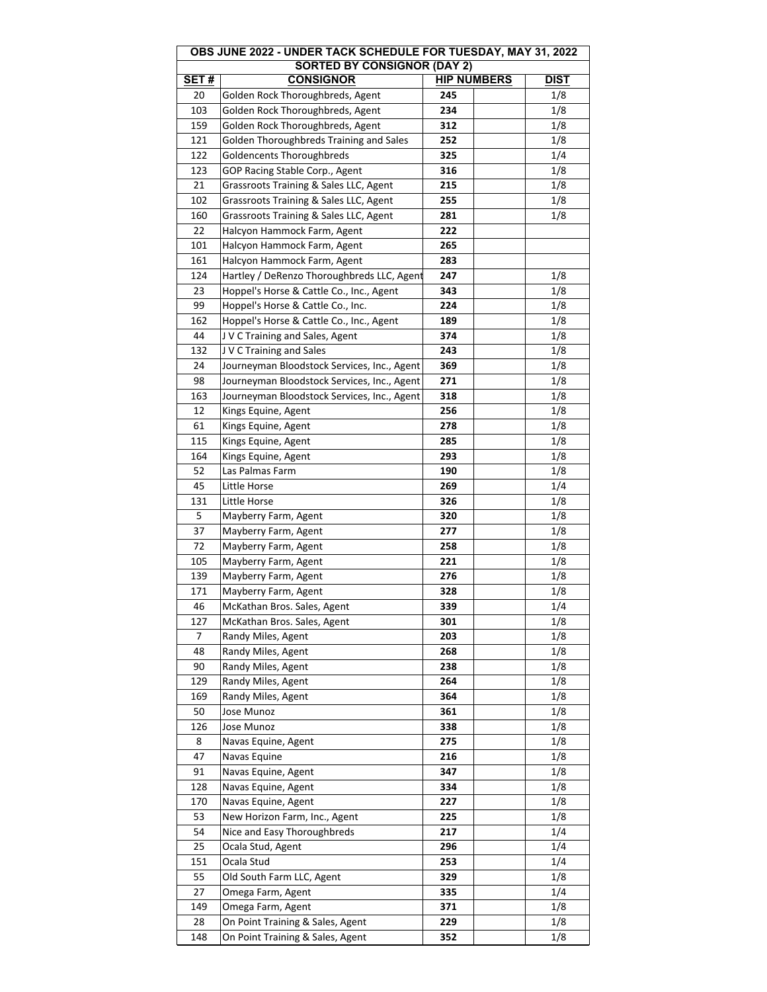| OBS JUNE 2022 - UNDER TACK SCHEDULE FOR TUESDAY, MAY 31, 2022 |                                             |                    |  |             |  |
|---------------------------------------------------------------|---------------------------------------------|--------------------|--|-------------|--|
|                                                               | <b>SORTED BY CONSIGNOR (DAY 2)</b>          |                    |  |             |  |
| SET#                                                          | <b>CONSIGNOR</b>                            | <b>HIP NUMBERS</b> |  | <b>DIST</b> |  |
| 20                                                            | Golden Rock Thoroughbreds, Agent            | 245                |  | 1/8         |  |
| 103                                                           | Golden Rock Thoroughbreds, Agent            | 234                |  | 1/8         |  |
| 159                                                           | Golden Rock Thoroughbreds, Agent            | 312                |  | 1/8         |  |
| 121                                                           | Golden Thoroughbreds Training and Sales     | 252                |  | 1/8         |  |
| 122                                                           | Goldencents Thoroughbreds                   | 325                |  | 1/4         |  |
| 123                                                           | GOP Racing Stable Corp., Agent              | 316                |  | 1/8         |  |
| 21                                                            | Grassroots Training & Sales LLC, Agent      | 215                |  | 1/8         |  |
| 102                                                           | Grassroots Training & Sales LLC, Agent      | 255                |  | 1/8         |  |
| 160                                                           | Grassroots Training & Sales LLC, Agent      | 281                |  | 1/8         |  |
| 22                                                            | Halcyon Hammock Farm, Agent                 | 222                |  |             |  |
| 101                                                           | Halcyon Hammock Farm, Agent                 | 265                |  |             |  |
| 161                                                           | Halcyon Hammock Farm, Agent                 | 283                |  |             |  |
| 124                                                           | Hartley / DeRenzo Thoroughbreds LLC, Agent  | 247                |  | 1/8         |  |
| 23                                                            | Hoppel's Horse & Cattle Co., Inc., Agent    | 343                |  | 1/8         |  |
| 99                                                            | Hoppel's Horse & Cattle Co., Inc.           | 224                |  | 1/8         |  |
|                                                               |                                             |                    |  | 1/8         |  |
| 162                                                           | Hoppel's Horse & Cattle Co., Inc., Agent    | 189                |  |             |  |
| 44                                                            | J V C Training and Sales, Agent             | 374                |  | 1/8         |  |
| 132                                                           | J V C Training and Sales                    | 243                |  | 1/8         |  |
| 24                                                            | Journeyman Bloodstock Services, Inc., Agent | 369                |  | 1/8         |  |
| 98                                                            | Journeyman Bloodstock Services, Inc., Agent | 271                |  | 1/8         |  |
| 163                                                           | Journeyman Bloodstock Services, Inc., Agent | 318                |  | 1/8         |  |
| 12                                                            | Kings Equine, Agent                         | 256                |  | 1/8         |  |
| 61                                                            | Kings Equine, Agent                         | 278                |  | 1/8         |  |
| 115                                                           | Kings Equine, Agent                         | 285                |  | 1/8         |  |
| 164                                                           | Kings Equine, Agent                         | 293                |  | 1/8         |  |
| 52                                                            | Las Palmas Farm                             | 190                |  | 1/8         |  |
| 45                                                            | Little Horse                                | 269                |  | 1/4         |  |
| 131                                                           | Little Horse                                | 326                |  | 1/8         |  |
| 5                                                             | Mayberry Farm, Agent                        | 320                |  | 1/8         |  |
| 37                                                            | Mayberry Farm, Agent                        | 277                |  | 1/8         |  |
| 72                                                            | Mayberry Farm, Agent                        | 258                |  | 1/8         |  |
| 105                                                           | Mayberry Farm, Agent                        | 221                |  | 1/8         |  |
| 139                                                           | Mayberry Farm, Agent                        | 276                |  | 1/8         |  |
| 171                                                           | Mayberry Farm, Agent                        | 328                |  | 1/8         |  |
| 46                                                            | McKathan Bros. Sales, Agent                 | 339                |  | 1/4         |  |
| 127                                                           | McKathan Bros. Sales, Agent                 | 301                |  | 1/8         |  |
| 7                                                             | Randy Miles, Agent                          | 203                |  | 1/8         |  |
| 48                                                            | Randy Miles, Agent                          | 268                |  | 1/8         |  |
| 90                                                            | Randy Miles, Agent                          | 238                |  | 1/8         |  |
| 129                                                           | Randy Miles, Agent                          | 264                |  | 1/8         |  |
| 169                                                           | Randy Miles, Agent                          | 364                |  | 1/8         |  |
| 50                                                            | Jose Munoz                                  | 361                |  | 1/8         |  |
| 126                                                           | Jose Munoz                                  | 338                |  | 1/8         |  |
| 8                                                             | Navas Equine, Agent                         | 275                |  | 1/8         |  |
| 47                                                            | Navas Equine                                | 216                |  | 1/8         |  |
| 91                                                            | Navas Equine, Agent                         | 347                |  | 1/8         |  |
| 128                                                           | Navas Equine, Agent                         | 334                |  | 1/8         |  |
|                                                               |                                             |                    |  |             |  |
| 170<br>53                                                     | Navas Equine, Agent                         | 227                |  | 1/8<br>1/8  |  |
|                                                               | New Horizon Farm, Inc., Agent               | 225                |  |             |  |
| 54                                                            | Nice and Easy Thoroughbreds                 | 217                |  | 1/4         |  |
| 25                                                            | Ocala Stud, Agent                           | 296                |  | 1/4         |  |
| 151                                                           | Ocala Stud                                  | 253                |  | 1/4         |  |
| 55                                                            | Old South Farm LLC, Agent                   | 329                |  | 1/8         |  |
| 27                                                            | Omega Farm, Agent                           | 335                |  | 1/4         |  |
| 149                                                           | Omega Farm, Agent                           | 371                |  | 1/8         |  |
| 28                                                            | On Point Training & Sales, Agent            | 229                |  | 1/8         |  |
| 148                                                           | On Point Training & Sales, Agent            | 352                |  | 1/8         |  |